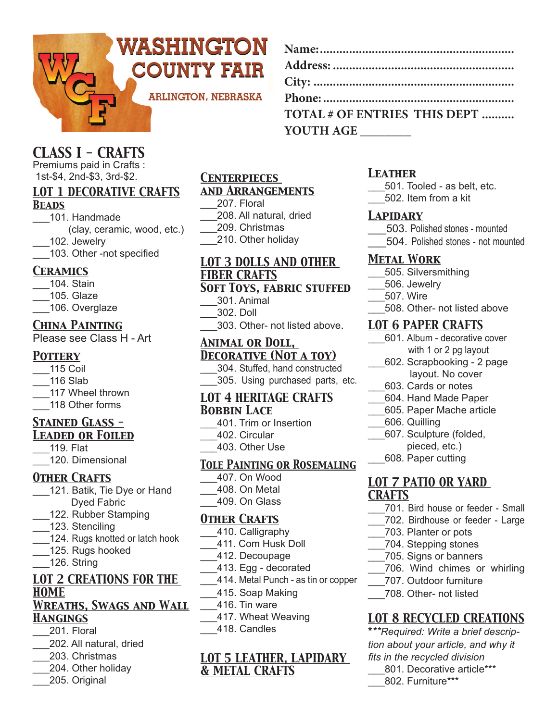

| <b>CLASS I - CRAFTS</b> |  |  |  |
|-------------------------|--|--|--|
|                         |  |  |  |

Premiums paid in Crafts : 1st-\$4, 2nd-\$3, 3rd-\$2.

# *LOT 1 DECORATIVE CRAFTS*

#### *Beads*

\_\_\_101. Handmade (clay, ceramic, wood, etc.) \_\_\_102. Jewelry

103. Other -not specified

#### *Ceramics*

- \_\_\_104. Stain
- \_\_\_105. Glaze
- 106. Overglaze

#### *China Painting*

Please see Class H - Art

### *Pottery*

\_\_\_115 Coil \_\_\_116 Slab \_\_\_117 Wheel thrown \_\_\_118 Other forms

#### *Stained Glass - Leaded or Foiled*

- \_\_\_119. Flat
- \_\_\_120. Dimensional

### *Other Crafts*

- 121. Batik, Tie Dye or Hand Dyed Fabric
- \_\_\_122. Rubber Stamping
- 123. Stenciling
- \_\_\_\_124. Rugs knotted or latch hook
- 125. Rugs hooked
- 126. String

# *LOT 2 CREATIONS FOR THE HOME*

#### *Wreaths, Swags and Wall Hangings*

- \_\_\_201. Floral
- \_\_\_202. All natural, dried
- \_\_\_203. Christmas
- \_\_\_204. Other holiday
- \_\_\_205. Original

#### *Centerpieces and Arrangements*

- 
- 
- 

#### *LOT 3 DOLLS AND OTHER FIBER CRAFTS Soft Toys, fabric stuffed*

- \_\_\_301. Animal
- \_\_\_302. Doll
- \_\_\_303. Other- not listed above.

#### *Animal or Doll, Decorative (Not a toy)*

\_\_\_304. Stuffed, hand constructed \_\_\_305. Using purchased parts, etc.

#### *LOT 4 HERITAGE CRAFTS Bobbin Lace*

- \_\_\_401. Trim or Insertion
- 402. Circular
- \_\_\_403. Other Use

#### *Tole Painting or Rosemaling*

- \_\_\_407. On Wood \_\_\_408. On Metal
- \_\_\_409. On Glass

#### *Other Crafts*

- \_\_\_410. Calligraphy
- \_\_\_411. Com Husk Doll
- \_\_412. Decoupage
- \_\_\_413. Egg decorated
- \_\_\_414. Metal Punch as tin or copper
	- \_\_\_415. Soap Making
- \_\_\_416. Tin ware
- \_\_\_417. Wheat Weaving
- \_\_\_418. Candles

#### *LOT 5 LEATHER, LAPIDARY & METAL CRAFTS*

#### *Leather*

**YOUTH AGE \_\_\_\_\_\_\_\_** 

**Name:............................................................ Address: ........................................................ City: .............................................................. Phone: ........................................................... TOTAL # OF ENTRIES THIS DEPT ..........**

- \_\_\_501. Tooled as belt, etc. \_\_\_502. Item from a kit
- 

#### *Lapidary*

- \_\_\_503. Polished stones mounted
- \_\_\_504. Polished stones not mounted

#### *Metal Work*

- \_\_\_505. Silversmithing
- \_\_\_506. Jewelry
- \_\_\_507. Wire
- \_\_\_508. Other- not listed above

#### *LOT 6 PAPER CRAFTS*

- \_\_\_601. Album decorative cover with 1 or 2 pg layout
- \_\_\_602. Scrapbooking 2 page layout. No cover
- \_\_\_603. Cards or notes
- \_\_\_604. Hand Made Paper
- \_\_\_605. Paper Mache article
- \_\_\_606. Quilling
- \_\_\_607. Sculpture (folded,
- pieced, etc.)
- \_\_\_608. Paper cutting

#### *LOT 7 PATIO OR YARD CRAFTS*

- \_\_\_701. Bird house or feeder Small
- \_\_\_702. Birdhouse or feeder Large
- \_\_\_703. Planter or pots
- \_\_\_704. Stepping stones
- \_\_\_705. Signs or banners
- 706. Wind chimes or whirling
- \_\_\_707. Outdoor furniture
- \_\_\_708. Other- not listed

## *LOT 8 RECYCLED CREATIONS*

**\****\*\*Required: Write a brief description about your article, and why it fits in the recycled division* 801. Decorative article\*\*\* 802. Furniture\*\*\*

- \_\_\_207. Floral
- \_\_\_208. All natural, dried
- \_\_\_209. Christmas
- 
- \_\_\_210. Other holiday